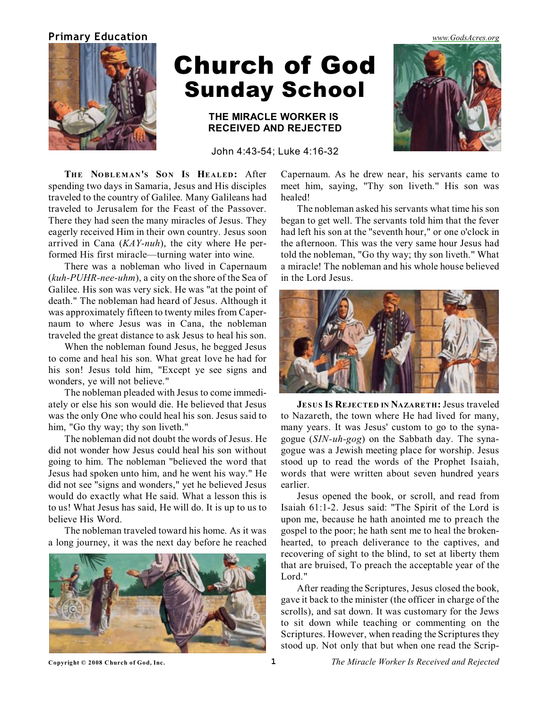## **Primary Education** *[www.GodsAcres.org](http://godsacres.org)*



# Church of God Sunday School

# **THE MIRACLE WORKER IS RECEIVED AND REJECTED**

John 4:43-54; Luke 4:16-32

**THE NOBLEMAN'S SON IS HEALED:** After spending two days in Samaria, Jesus and His disciples traveled to the country of Galilee. Many Galileans had traveled to Jerusalem for the Feast of the Passover. There they had seen the many miracles of Jesus. They eagerly received Him in their own country. Jesus soon arrived in Cana (*KAY-nuh*), the city where He performed His first miracle—turning water into wine.

There was a nobleman who lived in Capernaum (*kuh-PUHR-nee-uhm*), a city on the shore of the Sea of Galilee. His son was very sick. He was "at the point of death." The nobleman had heard of Jesus. Although it was approximately fifteen to twenty miles from Capernaum to where Jesus was in Cana, the nobleman traveled the great distance to ask Jesus to heal his son.

When the nobleman found Jesus, he begged Jesus to come and heal his son. What great love he had for his son! Jesus told him, "Except ye see signs and wonders, ye will not believe."

The nobleman pleaded with Jesus to come immediately or else his son would die. He believed that Jesus was the only One who could heal his son. Jesus said to him, "Go thy way; thy son liveth."

The nobleman did not doubt the words of Jesus. He did not wonder how Jesus could heal his son without going to him. The nobleman "believed the word that Jesus had spoken unto him, and he went his way." He did not see "signs and wonders," yet he believed Jesus would do exactly what He said. What a lesson this is to us! What Jesus has said, He will do. It is up to us to believe His Word.

The nobleman traveled toward his home. As it was a long journey, it was the next day before he reached



Capernaum. As he drew near, his servants came to meet him, saying, "Thy son liveth." His son was healed!

The nobleman asked his servants what time his son began to get well. The servants told him that the fever had left his son at the "seventh hour," or one o'clock in the afternoon. This was the very same hour Jesus had told the nobleman, "Go thy way; thy son liveth." What a miracle! The nobleman and his whole house believed in the Lord Jesus.



**JESUS IS REJECTED IN NAZARETH:** Jesus traveled to Nazareth, the town where He had lived for many, many years. It was Jesus' custom to go to the synagogue (*SIN-uh-gog*) on the Sabbath day. The synagogue was a Jewish meeting place for worship. Jesus stood up to read the words of the Prophet Isaiah, words that were written about seven hundred years earlier.

Jesus opened the book, or scroll, and read from Isaiah 61:1-2. Jesus said: "The Spirit of the Lord is upon me, because he hath anointed me to preach the gospel to the poor; he hath sent me to heal the brokenhearted, to preach deliverance to the captives, and recovering of sight to the blind, to set at liberty them that are bruised, To preach the acceptable year of the Lord."

After reading the Scriptures, Jesus closed the book, gave it back to the minister (the officer in charge of the scrolls), and sat down. It was customary for the Jews to sit down while teaching or commenting on the Scriptures. However, when reading the Scriptures they stood up. Not only that but when one read the Scrip-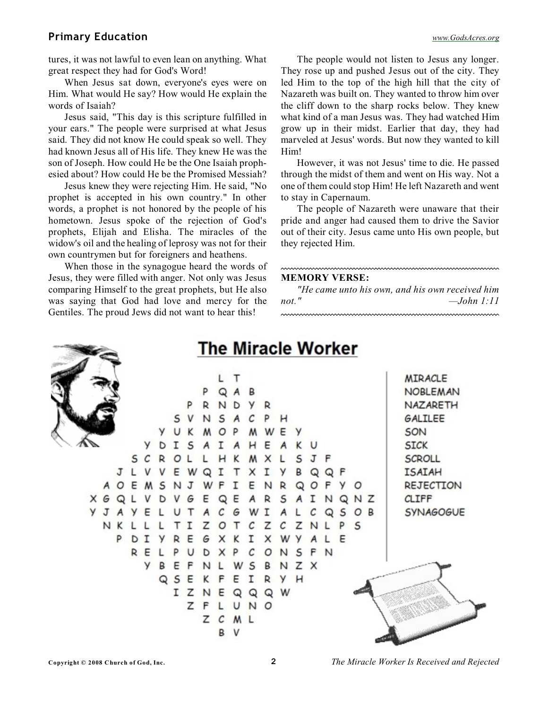# **Primary Education** *[www.GodsAcres.org](http://godsacres.org)*

tures, it was not lawful to even lean on anything. What great respect they had for God's Word!

When Jesus sat down, everyone's eyes were on Him. What would He say? How would He explain the words of Isaiah?

Jesus said, "This day is this scripture fulfilled in your ears." The people were surprised at what Jesus said. They did not know He could speak so well. They had known Jesus all of His life. They knew He was the son of Joseph. How could He be the One Isaiah prophesied about? How could He be the Promised Messiah?

Jesus knew they were rejecting Him. He said, "No prophet is accepted in his own country." In other words, a prophet is not honored by the people of his hometown. Jesus spoke of the rejection of God's prophets, Elijah and Elisha. The miracles of the widow's oil and the healing of leprosy was not for their own countrymen but for foreigners and heathens.

When those in the synagogue heard the words of Jesus, they were filled with anger. Not only was Jesus comparing Himself to the great prophets, but He also was saying that God had love and mercy for the Gentiles. The proud Jews did not want to hear this!

The people would not listen to Jesus any longer. They rose up and pushed Jesus out of the city. They led Him to the top of the high hill that the city of Nazareth was built on. They wanted to throw him over the cliff down to the sharp rocks below. They knew what kind of a man Jesus was. They had watched Him grow up in their midst. Earlier that day, they had marveled at Jesus' words. But now they wanted to kill Him!

However, it was not Jesus' time to die. He passed through the midst of them and went on His way. Not a one of them could stop Him! He left Nazareth and went to stay in Capernaum.

The people of Nazareth were unaware that their pride and anger had caused them to drive the Savior out of their city. Jesus came unto His own people, but they rejected Him.

#### **MEMORY VERSE:**

*"He came unto his own, and his own received him not." —John 1:11*



### **Copyright © 2008 Church of God, Inc. 2** *The Miracle Worker Is Received and Rejected*